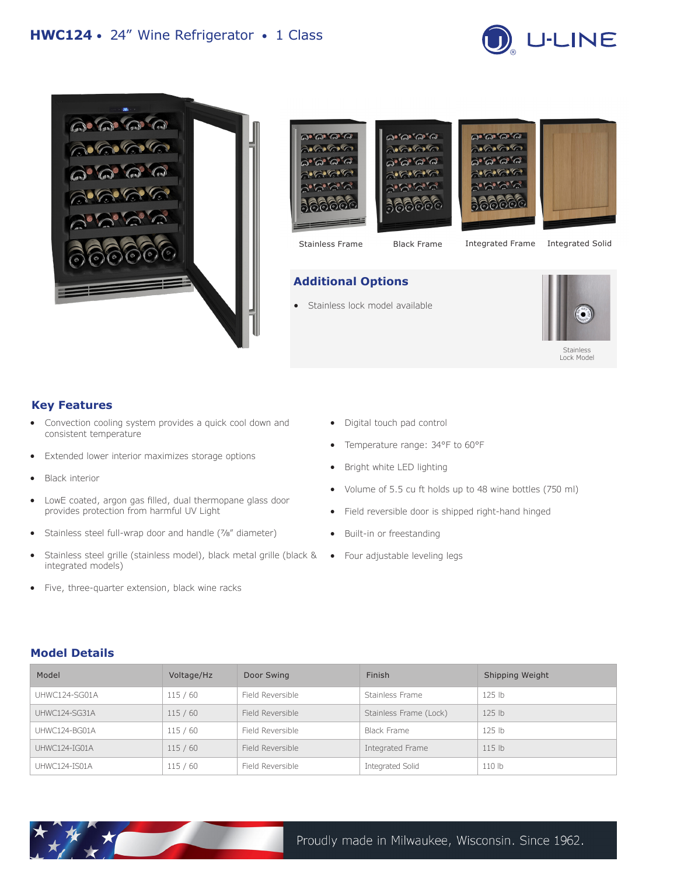





# **Additional Options**

Stainless lock model available



## **Key Features**

- Convection cooling system provides a quick cool down and consistent temperature
- Extended lower interior maximizes storage options
- **Black interior**
- LowE coated, argon gas filled, dual thermopane glass door provides protection from harmful UV Light
- Stainless steel full-wrap door and handle (7/8" diameter)
- Stainless steel grille (stainless model), black metal grille (black & Four adjustable leveling legs integrated models)
- Five, three-quarter extension, black wine racks
- Digital touch pad control
- Temperature range: 34°F to 60°F
- Bright white LED lighting
- Volume of 5.5 cu ft holds up to 48 wine bottles (750 ml)
- Field reversible door is shipped right-hand hinged
- Built-in or freestanding
- 

#### **Model Details**

| Model         | Voltage/Hz | Door Swing       | Finish                 | Shipping Weight   |
|---------------|------------|------------------|------------------------|-------------------|
| UHWC124-SG01A | 115/60     | Field Reversible | Stainless Frame        | 125 <sub>1b</sub> |
| UHWC124-SG31A | 115/60     | Field Reversible | Stainless Frame (Lock) | 125 <sub>1b</sub> |
| UHWC124-BG01A | 115/60     | Field Reversible | Black Frame            | $125$ lb          |
| UHWC124-IG01A | 115/60     | Field Reversible | Integrated Frame       | 115 <sub>lb</sub> |
| UHWC124-IS01A | 115/60     | Field Reversible | Integrated Solid       | 110 lb            |